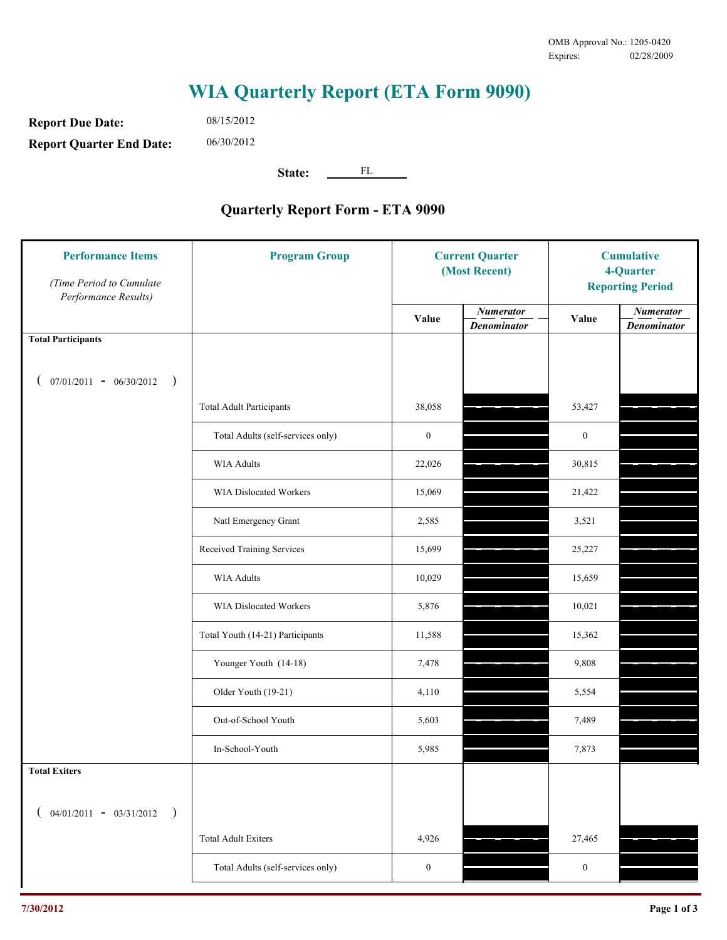## **WIA Quarterly Report (ETA Form 9090)**

**Report Due Date: Report Quarter End Date:** 08/15/2012 06/30/2012

> State: FL

## **Quarterly Report Form - ETA 9090**

| <b>Performance Items</b><br>(Time Period to Cumulate<br>Performance Results) | <b>Program Group</b>              | <b>Current Quarter</b><br>(Most Recent) |                                        | <b>Cumulative</b><br>4-Quarter<br><b>Reporting Period</b> |                                        |
|------------------------------------------------------------------------------|-----------------------------------|-----------------------------------------|----------------------------------------|-----------------------------------------------------------|----------------------------------------|
|                                                                              |                                   | Value                                   | <b>Numerator</b><br><b>Denominator</b> | Value                                                     | <b>Numerator</b><br><b>Denominator</b> |
| <b>Total Participants</b>                                                    |                                   |                                         |                                        |                                                           |                                        |
| $07/01/2011 - 06/30/2012$<br>$\rightarrow$                                   |                                   |                                         |                                        |                                                           |                                        |
|                                                                              | <b>Total Adult Participants</b>   | 38,058                                  |                                        | 53,427                                                    |                                        |
|                                                                              | Total Adults (self-services only) | $\boldsymbol{0}$                        |                                        | $\boldsymbol{0}$                                          |                                        |
|                                                                              | <b>WIA Adults</b>                 | 22,026                                  |                                        | 30,815                                                    |                                        |
|                                                                              | <b>WIA Dislocated Workers</b>     | 15,069                                  |                                        | 21,422                                                    |                                        |
|                                                                              | Natl Emergency Grant              | 2,585                                   |                                        | 3,521                                                     |                                        |
|                                                                              | Received Training Services        | 15,699                                  |                                        | 25,227                                                    |                                        |
|                                                                              | <b>WIA Adults</b>                 | 10,029                                  |                                        | 15,659                                                    |                                        |
|                                                                              | WIA Dislocated Workers            | 5,876                                   |                                        | 10,021                                                    |                                        |
|                                                                              | Total Youth (14-21) Participants  | 11,588                                  |                                        | 15,362                                                    |                                        |
|                                                                              | Younger Youth (14-18)             | 7,478                                   |                                        | 9,808                                                     |                                        |
|                                                                              | Older Youth (19-21)               | 4,110                                   |                                        | 5,554                                                     |                                        |
|                                                                              | Out-of-School Youth               | 5,603                                   |                                        | 7,489                                                     |                                        |
|                                                                              | In-School-Youth                   | 5,985                                   |                                        | 7,873                                                     |                                        |
| <b>Total Exiters</b>                                                         |                                   |                                         |                                        |                                                           |                                        |
| $04/01/2011 - 03/31/2012$                                                    |                                   |                                         |                                        |                                                           |                                        |
|                                                                              | <b>Total Adult Exiters</b>        | 4,926                                   |                                        | 27,465                                                    |                                        |
|                                                                              | Total Adults (self-services only) | $\boldsymbol{0}$                        |                                        | $\boldsymbol{0}$                                          |                                        |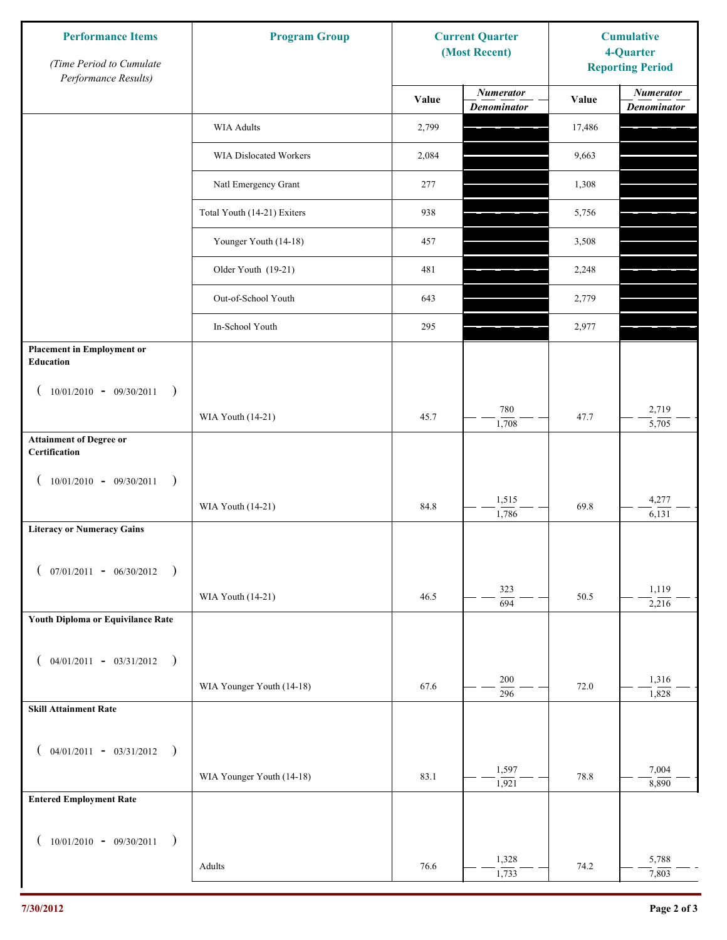| <b>Performance Items</b><br>(Time Period to Cumulate   | <b>Program Group</b>          | <b>Current Quarter</b><br>(Most Recent) |                                        | <b>Cumulative</b><br>4-Quarter<br><b>Reporting Period</b> |                                        |
|--------------------------------------------------------|-------------------------------|-----------------------------------------|----------------------------------------|-----------------------------------------------------------|----------------------------------------|
| Performance Results)                                   |                               | Value                                   | <b>Numerator</b><br><b>Denominator</b> | Value                                                     | <b>Numerator</b><br><b>Denominator</b> |
|                                                        | WIA Adults                    | 2,799                                   |                                        | 17,486                                                    |                                        |
|                                                        | <b>WIA Dislocated Workers</b> | 2,084                                   |                                        | 9,663                                                     |                                        |
|                                                        | Natl Emergency Grant          | 277                                     |                                        | 1,308                                                     |                                        |
|                                                        | Total Youth (14-21) Exiters   | 938                                     |                                        | 5,756                                                     |                                        |
|                                                        | Younger Youth (14-18)         | 457                                     |                                        | 3,508                                                     |                                        |
|                                                        | Older Youth (19-21)           | 481                                     |                                        | 2,248                                                     |                                        |
|                                                        | Out-of-School Youth           | 643                                     |                                        | 2,779                                                     |                                        |
|                                                        | In-School Youth               | 295                                     |                                        | 2,977                                                     |                                        |
| <b>Placement in Employment or</b><br>Education         |                               |                                         |                                        |                                                           |                                        |
| $(10/01/2010 - 09/30/2011)$                            |                               |                                         |                                        |                                                           |                                        |
|                                                        | WIA Youth (14-21)             | 45.7                                    | 780<br>1,708                           | 47.7                                                      | 2,719<br>5,705                         |
| <b>Attainment of Degree or</b><br>Certification        |                               |                                         |                                        |                                                           |                                        |
| $(10/01/2010 - 09/30/2011$<br>$\overline{\phantom{a}}$ |                               |                                         |                                        |                                                           |                                        |
|                                                        | WIA Youth (14-21)             | 84.8                                    | 1,515<br>1,786                         | 69.8                                                      | 4,277<br>6,131                         |
| <b>Literacy or Numeracy Gains</b>                      |                               |                                         |                                        |                                                           |                                        |
| $($ 07/01/2011 - 06/30/2012                            |                               |                                         |                                        |                                                           |                                        |
|                                                        | WIA Youth (14-21)             | 46.5                                    | 323<br>694                             | 50.5                                                      | 1,119<br>2,216                         |
| Youth Diploma or Equivilance Rate                      |                               |                                         |                                        |                                                           |                                        |
|                                                        |                               |                                         |                                        |                                                           |                                        |
| $04/01/2011 - 03/31/2012$ )                            | WIA Younger Youth (14-18)     | 67.6                                    | 200                                    | 72.0                                                      | 1,316                                  |
| <b>Skill Attainment Rate</b>                           |                               |                                         | 296                                    |                                                           | 1,828                                  |
|                                                        |                               |                                         |                                        |                                                           |                                        |
| $04/01/2011 - 03/31/2012$ )                            |                               |                                         | 1,597                                  |                                                           | 7,004                                  |
| <b>Entered Employment Rate</b>                         | WIA Younger Youth (14-18)     | 83.1                                    | 1,921                                  | 78.8                                                      | 8,890                                  |
|                                                        |                               |                                         |                                        |                                                           |                                        |
| $10/01/2010 - 09/30/2011$ )                            |                               |                                         |                                        |                                                           |                                        |
|                                                        | Adults                        | 76.6                                    | 1,328<br>1,733                         | 74.2                                                      | 5,788<br>7,803                         |